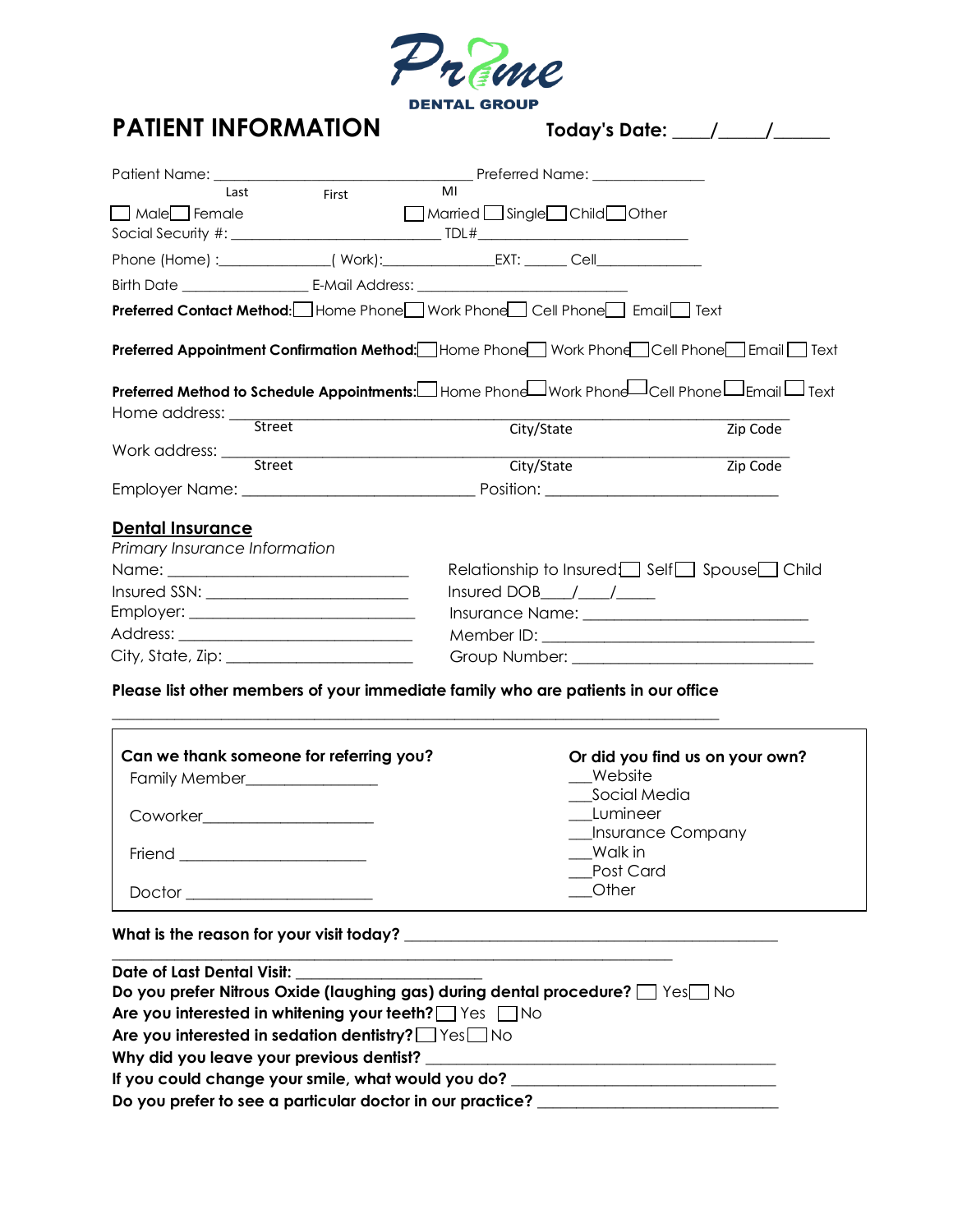

## **PATIENT INFORMATION**

| <b>Today's Date:</b> |  |  |
|----------------------|--|--|
|                      |  |  |

| Last<br>Male Female                                      | First                                                                                                | MI<br>Married Single Child Other |                                           |
|----------------------------------------------------------|------------------------------------------------------------------------------------------------------|----------------------------------|-------------------------------------------|
|                                                          |                                                                                                      |                                  |                                           |
|                                                          | <b>Preferred Contact Method:</b> Home Phone Work Phone Cell Phone Email Text                         |                                  |                                           |
|                                                          | <b>Preferred Appointment Confirmation Method:</b> Home Phone Work Phone Cell Phone Email Text        |                                  |                                           |
|                                                          | <b>Preferred Method to Schedule Appointments:</b> Home Phone JWork Phone JCell Phone JEmail JText    |                                  |                                           |
|                                                          |                                                                                                      | City/State                       | Zip Code                                  |
|                                                          |                                                                                                      | City/State                       | Zip Code                                  |
| <b>Dental Insurance</b><br>Primary Insurance Information |                                                                                                      |                                  | Relationship to Insured Self Spouse Child |
|                                                          |                                                                                                      | $Insured DOB$ $1/2$              |                                           |
|                                                          |                                                                                                      |                                  |                                           |
|                                                          |                                                                                                      |                                  |                                           |
|                                                          | $City, State, Zip: ________$                                                                         |                                  |                                           |
|                                                          | Blance Ballathan organisation of correct section for the collection of the state of the second Maria |                                  |                                           |

**Please list other members of your immediate family who are patients in our office \_\_\_\_\_\_\_\_\_\_\_\_\_\_\_\_\_\_\_\_\_\_\_\_\_\_\_\_\_\_\_\_\_\_\_\_\_\_\_\_\_\_\_\_\_\_\_\_\_\_\_\_\_\_\_\_\_\_\_\_\_\_\_\_\_\_\_\_\_\_\_\_\_\_\_\_\_\_**

| Can we thank someone for referring you?<br>Family Member________________<br>Coworker________________________ | Or did you find us on your own?<br>Website<br>Social Media<br>Lumineer<br>__Insurance Company<br>Walk in<br>Post Card |
|--------------------------------------------------------------------------------------------------------------|-----------------------------------------------------------------------------------------------------------------------|
| Doctor ________________                                                                                      | Other                                                                                                                 |

**What is the reason for your visit today? \_\_\_\_\_\_\_\_\_\_\_\_\_\_\_\_\_\_\_\_\_\_\_\_\_\_\_\_\_\_\_\_\_\_\_\_\_\_\_\_\_\_\_\_\_\_\_\_**

| <b>Date of Last Dental Visit:</b>                                           |  |
|-----------------------------------------------------------------------------|--|
| Do you prefer Nitrous Oxide (laughing gas) during dental procedure? The Yes |  |
| Are you interested in whitening your teeth? $\Box$ Yes $\Box$ No            |  |
| Are you interested in sedation dentistry? Ves No                            |  |
| Why did you leave your previous dentist?                                    |  |
| If you could change your smile, what would you do?                          |  |
| Do you prefer to see a particular doctor in our practice?                   |  |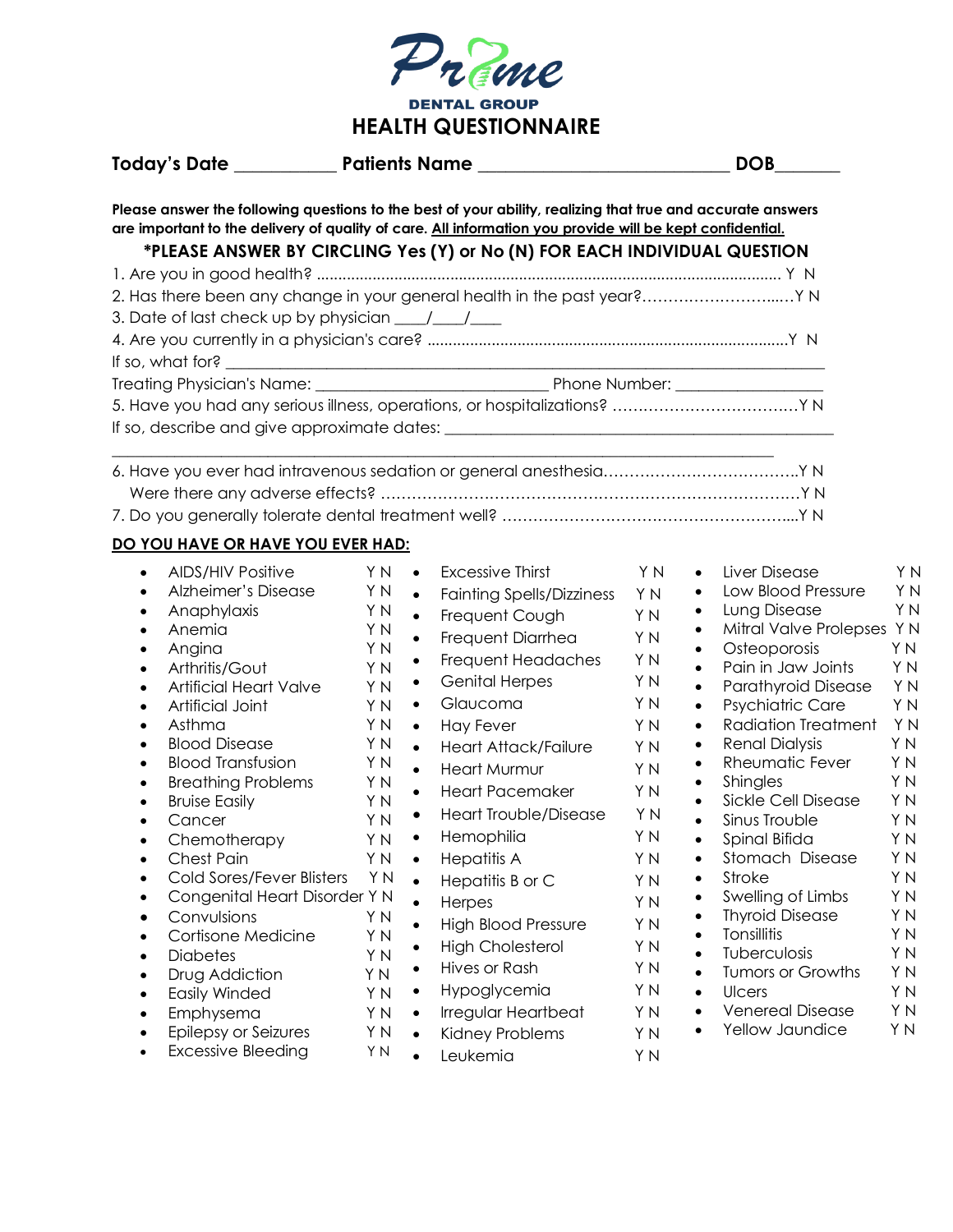

|                                                                                                                                                                                                                                                                                                                                                                                                                                                                                                                               |                                                                                                                                                                                                                                                                                                                                                                                                                                                                                                                                                                                  | <b>DOB</b>                                                                                                                                                                                                                                                                                                                                                                                                                                                                                                                                                                                                    |
|-------------------------------------------------------------------------------------------------------------------------------------------------------------------------------------------------------------------------------------------------------------------------------------------------------------------------------------------------------------------------------------------------------------------------------------------------------------------------------------------------------------------------------|----------------------------------------------------------------------------------------------------------------------------------------------------------------------------------------------------------------------------------------------------------------------------------------------------------------------------------------------------------------------------------------------------------------------------------------------------------------------------------------------------------------------------------------------------------------------------------|---------------------------------------------------------------------------------------------------------------------------------------------------------------------------------------------------------------------------------------------------------------------------------------------------------------------------------------------------------------------------------------------------------------------------------------------------------------------------------------------------------------------------------------------------------------------------------------------------------------|
|                                                                                                                                                                                                                                                                                                                                                                                                                                                                                                                               | Please answer the following questions to the best of your ability, realizing that true and accurate answers<br>are important to the delivery of quality of care. All information you provide will be kept confidential.<br>*PLEASE ANSWER BY CIRCLING Yes (Y) or No (N) FOR EACH INDIVIDUAL QUESTION<br>2. Has there been any change in your general health in the past year? Y N<br>If so, what for? $\overline{\phantom{a}}$                                                                                                                                                   |                                                                                                                                                                                                                                                                                                                                                                                                                                                                                                                                                                                                               |
|                                                                                                                                                                                                                                                                                                                                                                                                                                                                                                                               |                                                                                                                                                                                                                                                                                                                                                                                                                                                                                                                                                                                  |                                                                                                                                                                                                                                                                                                                                                                                                                                                                                                                                                                                                               |
|                                                                                                                                                                                                                                                                                                                                                                                                                                                                                                                               |                                                                                                                                                                                                                                                                                                                                                                                                                                                                                                                                                                                  |                                                                                                                                                                                                                                                                                                                                                                                                                                                                                                                                                                                                               |
| DO YOU HAVE OR HAVE YOU EVER HAD:<br><b>AIDS/HIV Positive</b><br>$\bullet$<br>Alzheimer's Disease<br>$\bullet$<br>Anaphylaxis<br>$\bullet$<br>Anemia<br>$\bullet$<br>Angina<br>$\bullet$<br>Arthritis/Gout<br>$\bullet$<br><b>Artificial Heart Valve</b><br>$\bullet$<br>Artificial Joint<br>$\bullet$<br>Asthma<br>$\bullet$<br><b>Blood Disease</b><br>$\bullet$                                                                                                                                                            | Excessive Thirst<br>Y N<br>$\bullet$<br>Y N<br>$\bullet$<br><b>Fainting Spells/Dizziness</b><br>Y N<br>$\bullet$<br>Frequent Cough<br>Y N<br>$\bullet$<br>Frequent Diarrhea<br>Y N<br>Frequent Headaches<br>$\bullet$<br>Y N<br><b>Genital Herpes</b><br>$\bullet$<br>Y N<br>Glaucoma<br>Y N<br>$\bullet$<br>Y N<br><b>Hay Fever</b><br>$\bullet$<br>Y N<br>$\bullet$<br><b>Heart Attack/Failure</b>                                                                                                                                                                             | YN<br>Liver Disease<br>Y N<br>$\bullet$<br>Low Blood Pressure<br>Y N<br>Y N<br>$\bullet$<br>Y N<br>Lung Disease<br>$\bullet$<br>Y N<br>Mitral Valve Prolepses Y N<br>$\bullet$<br>Y N<br>Osteoporosis<br>Y N<br>$\bullet$<br>Y N<br>Pain in Jaw Joints<br>Y N<br>$\bullet$<br>Y N<br>Parathyroid Disease<br>Y <sub>N</sub><br>$\bullet$<br>Y N<br><b>Psychiatric Care</b><br>Y N<br>$\bullet$<br><b>Radiation Treatment</b><br>Y N<br>Y N<br>$\bullet$<br><b>Renal Dialysis</b><br>Y N<br>$\bullet$<br>Y <sub>N</sub>                                                                                         |
| <b>Blood Transfusion</b><br>$\bullet$<br><b>Breathing Problems</b><br>$\bullet$<br><b>Bruise Easily</b><br>$\bullet$<br>Cancer<br>Chemotherapy<br>Chest Pain<br>$\bullet$<br>Cold Sores/Fever Blisters<br>$\bullet$<br>Congenital Heart Disorder Y N<br>٠<br>Convulsions<br>$\bullet$<br>Cortisone Medicine<br>$\bullet$<br><b>Diabetes</b><br>$\bullet$<br>Drug Addiction<br>$\bullet$<br><b>Easily Winded</b><br>$\bullet$<br>Emphysema<br>$\bullet$<br>Epilepsy or Seizures<br>٠<br><b>Excessive Bleeding</b><br>$\bullet$ | Y N<br>$\bullet$<br><b>Heart Murmur</b><br>Y N<br>$\bullet$<br><b>Heart Pacemaker</b><br>YN<br><b>Heart Trouble/Disease</b><br>$\bullet$<br>Y N<br>Hemophilia<br>Y N<br>$\bullet$<br>Y N<br><b>Hepatitis A</b><br>$\bullet$<br>Y N<br>Hepatitis B or C<br>$\bullet$<br>Herpes<br>$\bullet$<br>Y N<br><b>High Blood Pressure</b><br>$\bullet$<br>Y N<br><b>High Cholesterol</b><br>Y N<br>Hives or Rash<br>$\bullet$<br>Y N<br>Hypoglycemia<br>Y N<br>$\bullet$<br>Y N<br>Irregular Heartbeat<br>$\bullet$<br>Y N<br>Kidney Problems<br>$\bullet$<br>Y N<br>Leukemia<br>$\bullet$ | Rheumatic Fever<br>YN<br>$\bullet$<br>Y N<br>Shingles<br>Y N<br>$\bullet$<br>YN<br>Sickle Cell Disease<br>$\bullet$<br>YN<br>YN<br>$\bullet$<br>Sinus Trouble<br>Y N<br>Y N<br>Spinal Bifida<br>Y N<br>Y N<br>Stomach Disease<br>Y N<br>٠<br>Stroke<br>Y N<br>Y N<br>٠<br>Swelling of Limbs<br>ΥN<br>٠<br>Y N<br><b>Thyroid Disease</b><br>ΥN<br>٠<br>Y N<br>Tonsillitis<br>Y N<br>$\bullet$<br>Y N<br>Tuberculosis<br>Y N<br>$\bullet$<br>Y N<br>Tumors or Growths<br>Y N<br>$\bullet$<br>Y N<br>Y N<br><b>Ulcers</b><br>$\bullet$<br>Y N<br>Venereal Disease<br>Y N<br>Y N<br>Yellow Jaundice<br>Y N<br>Y N |